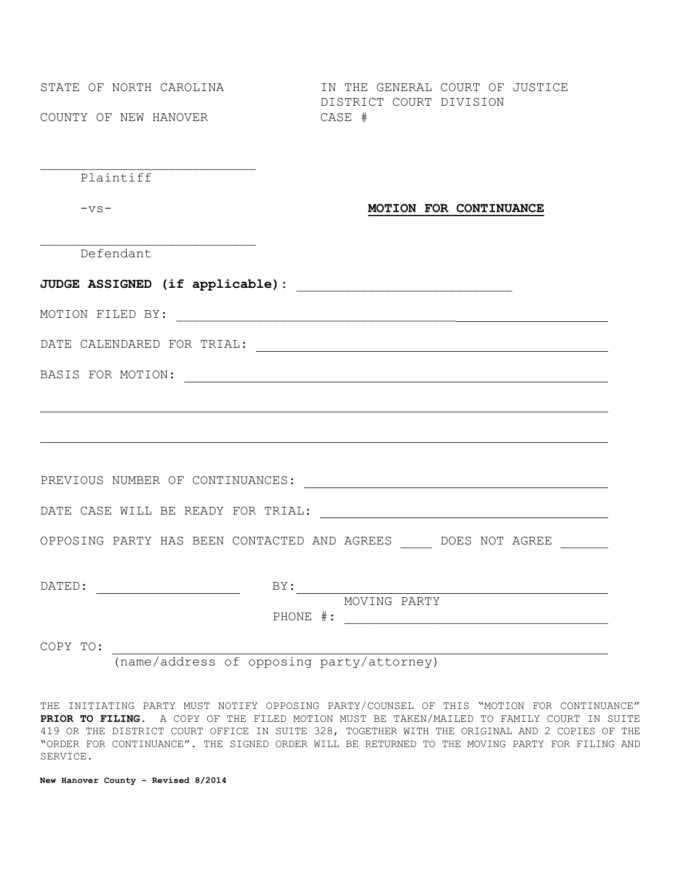COUNTY OF NEW HANOVER CASE #

STATE OF NORTH CAROLINA **IN THE GENERAL COURT OF JUSTICE** DISTRICT COURT DIVISION

\_\_\_\_\_\_\_\_\_\_\_\_\_\_\_\_\_\_\_\_\_\_\_\_\_\_\_ Plaintiff

## -vs- **MOTION FOR CONTINUANCE**

Defendant

\_\_\_\_\_\_\_\_\_\_\_\_\_\_\_\_\_\_\_\_\_\_\_\_\_\_\_

| OPPOSING PARTY HAS BEEN CONTACTED AND AGREES DOES NOT AGREE |              |  |
|-------------------------------------------------------------|--------------|--|
|                                                             |              |  |
|                                                             | MOVING PARTY |  |
|                                                             |              |  |
|                                                             |              |  |

(name/address of opposing party/attorney)

THE INITIATING PARTY MUST NOTIFY OPPOSING PARTY/COUNSEL OF THIS "MOTION FOR CONTINUANCE" **PRIOR TO FILING**. A COPY OF THE FILED MOTION MUST BE TAKEN/MAILED TO FAMILY COURT IN SUITE 419 OR THE DISTRICT COURT OFFICE IN SUITE 328, TOGETHER WITH THE ORIGINAL AND 2 COPIES OF THE "ORDER FOR CONTINUANCE". THE SIGNED ORDER WILL BE RETURNED TO THE MOVING PARTY FOR FILING AND SERVICE.

**New Hanover County – Revised 8/2014**